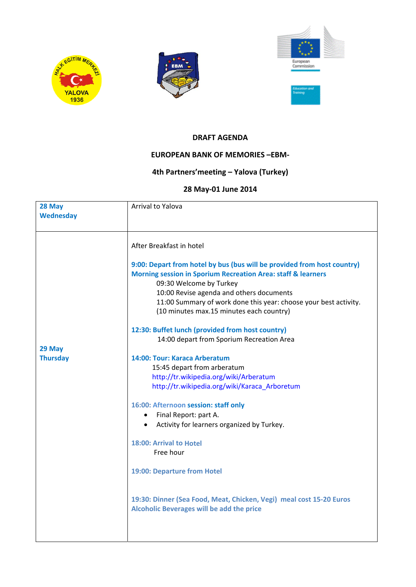





## **DRAFT AGENDA**

## **EUROPEAN BANK OF MEMORIES –EBM‐**

## **4th Partners'meeting – Yalova (Turkey)**

## **28 May‐01 June 2014**

| 28 May<br><b>Wednesday</b> | Arrival to Yalova                                                                                                                                                                                                                                                                                                                                                                                                                                                                                                                                                                                                                                                                                                                                                                                                                                                                                                                                  |
|----------------------------|----------------------------------------------------------------------------------------------------------------------------------------------------------------------------------------------------------------------------------------------------------------------------------------------------------------------------------------------------------------------------------------------------------------------------------------------------------------------------------------------------------------------------------------------------------------------------------------------------------------------------------------------------------------------------------------------------------------------------------------------------------------------------------------------------------------------------------------------------------------------------------------------------------------------------------------------------|
| 29 May<br><b>Thursday</b>  | After Breakfast in hotel<br>9:00: Depart from hotel by bus (bus will be provided from host country)<br><b>Morning session in Sporium Recreation Area: staff &amp; learners</b><br>09:30 Welcome by Turkey<br>10:00 Revise agenda and others documents<br>11:00 Summary of work done this year: choose your best activity.<br>(10 minutes max.15 minutes each country)<br>12:30: Buffet lunch (provided from host country)<br>14:00 depart from Sporium Recreation Area<br>14:00: Tour: Karaca Arberatum<br>15:45 depart from arberatum<br>http://tr.wikipedia.org/wiki/Arberatum<br>http://tr.wikipedia.org/wiki/Karaca_Arboretum<br>16:00: Afternoon session: staff only<br>Final Report: part A.<br>Activity for learners organized by Turkey.<br>18:00: Arrival to Hotel<br>Free hour<br>19:00: Departure from Hotel<br>19:30: Dinner (Sea Food, Meat, Chicken, Vegi) meal cost 15-20 Euros<br><b>Alcoholic Beverages will be add the price</b> |
|                            |                                                                                                                                                                                                                                                                                                                                                                                                                                                                                                                                                                                                                                                                                                                                                                                                                                                                                                                                                    |